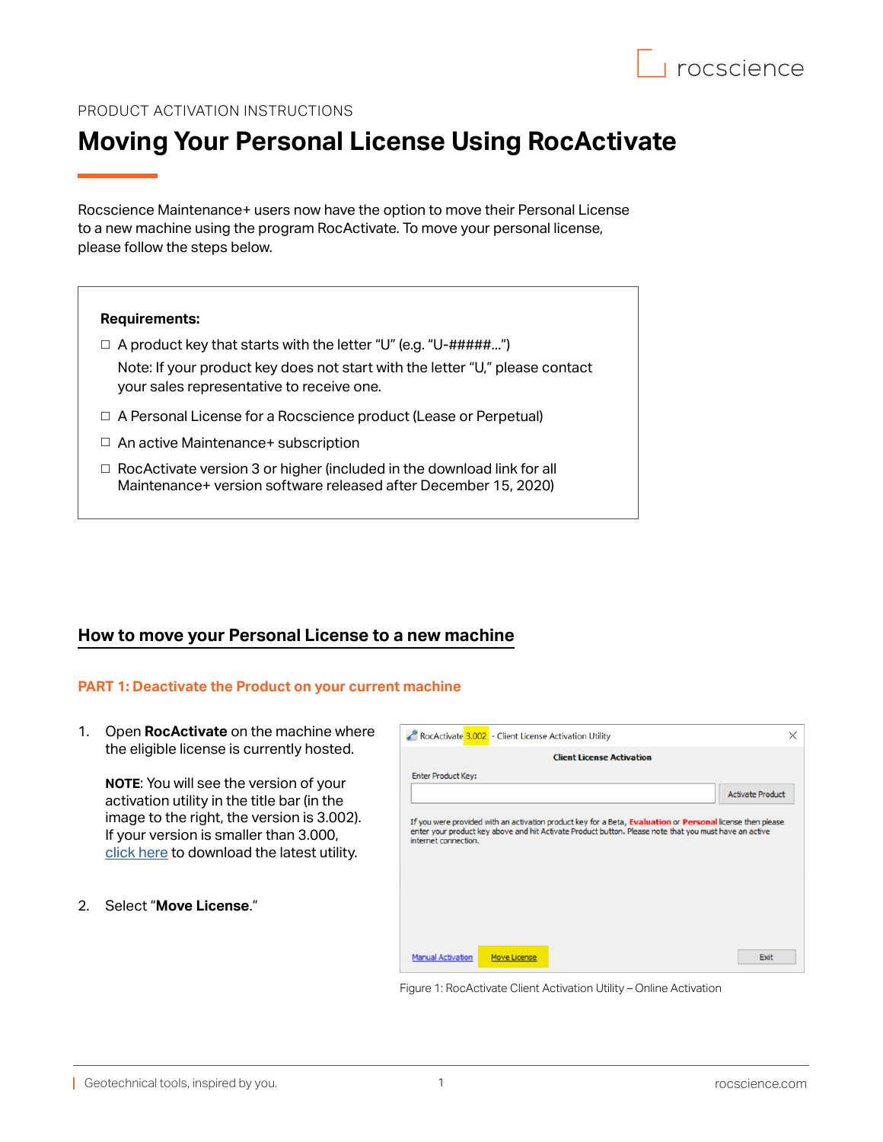

## PRODUCT ACTIVATION INSTRUCTIONS

# **Moving Your Personal License Using RocActivate**

Rocscience Maintenance+ users now have the option to move their Personal License to a new machine using the program RocActivate. To move your personal license, please follow the steps below.

#### **Requirements:**

 $\Box$  A product key that starts with the letter "U" (e.g. "U-#####...")

Note: If your product key does not start with the letter "U," please contact your sales representative to receive one.

- □ A Personal License for a Rocscience product (Lease or Perpetual)
- □ An active Maintenance+ subscription
- $\Box$  RocActivate version 3 or higher (included in the download link for all Maintenance+ version software released after December 15, 2020)

# **How to move your Personal License to a new machine**

### **PART 1: Deactivate the Product on your current machine**

1. Open **RocActivate** on the machine where the eligible license is currently hosted.

**NOTE**: You will see the version of your activation utility in the title bar (in the image to the right, the version is 3.002). If your version is smaller than 3.000, [click here](https://www.rocscience.com/downloads/rocactivate/RocActivate.zip) to download the latest utility.

2. Select "**Move License**."

| RocActivate 3.002 - Client License Activation Utility                                                                                                                                                                                        | × |
|----------------------------------------------------------------------------------------------------------------------------------------------------------------------------------------------------------------------------------------------|---|
| <b>Client License Activation</b>                                                                                                                                                                                                             |   |
| <b>Enter Product Key:</b>                                                                                                                                                                                                                    |   |
| <b>Activate Product</b>                                                                                                                                                                                                                      |   |
| If you were provided with an activation product key for a Beta, Evaluation or Personal license then please<br>enter your product key above and hit Activate Product button. Please note that you must have an active<br>internet connection. |   |
| <b>Manual Activation</b><br><b>Move License</b><br>Exit                                                                                                                                                                                      |   |

Figure 1: RocActivate Client Activation Utility – Online Activation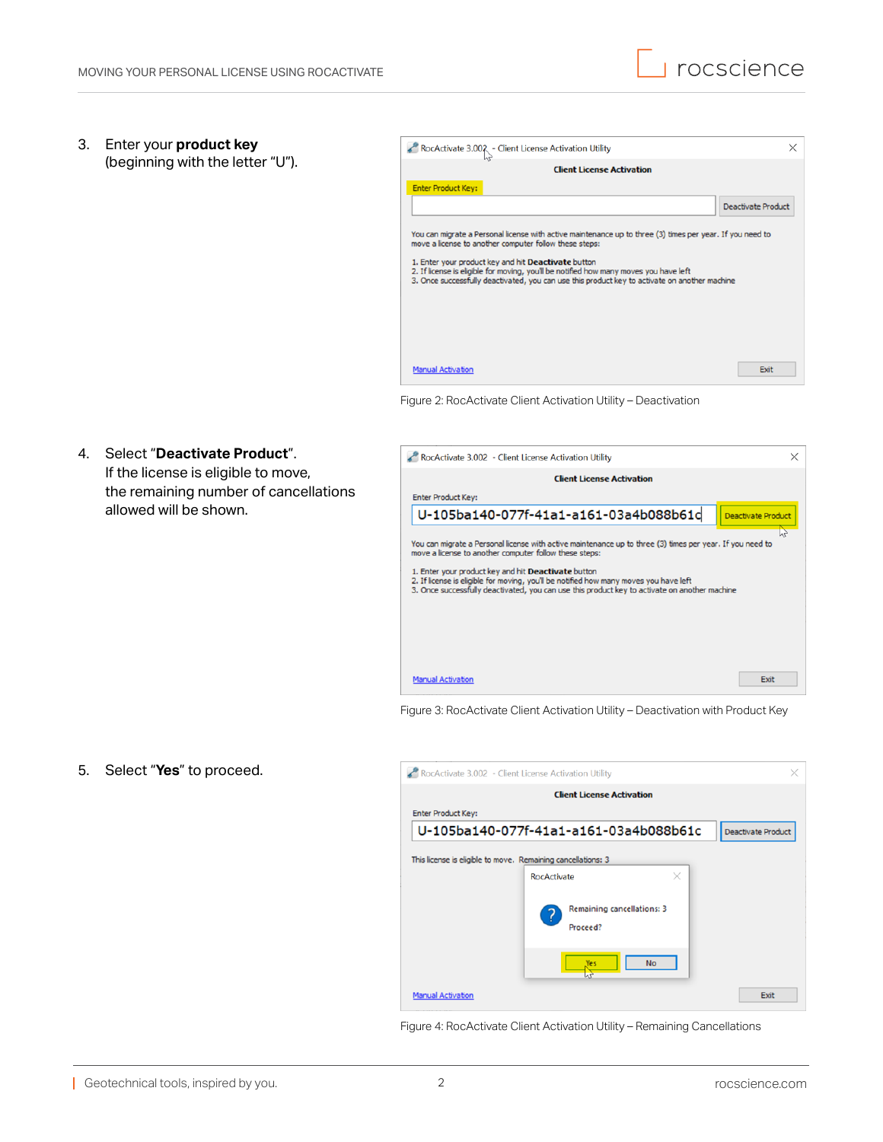3. Enter your **product key** (beginning with the letter "U").

4. Select "**Deactivate Product**".

allowed will be shown.

If the license is eligible to move, the remaining number of cancellations

| RocActivate 3.002 - Client License Activation Utility                                                                                                                                                                                                                                                                                                                                                                |                           |
|----------------------------------------------------------------------------------------------------------------------------------------------------------------------------------------------------------------------------------------------------------------------------------------------------------------------------------------------------------------------------------------------------------------------|---------------------------|
| <b>Client License Activation</b>                                                                                                                                                                                                                                                                                                                                                                                     |                           |
| <b>Enter Product Key:</b>                                                                                                                                                                                                                                                                                                                                                                                            |                           |
|                                                                                                                                                                                                                                                                                                                                                                                                                      | <b>Deactivate Product</b> |
| You can migrate a Personal license with active maintenance up to three (3) times per year. If you need to<br>move a license to another computer follow these steps:<br>1. Enter your product key and hit Deactivate button<br>2. If license is eligible for moving, you'll be notified how many moves you have left<br>3. Once successfully deactivated, you can use this product key to activate on another machine |                           |
| <b>Manual Activation</b>                                                                                                                                                                                                                                                                                                                                                                                             | Exit                      |

Figure 2: RocActivate Client Activation Utility – Deactivation

|                           | <b>Client License Activation</b>                                                                                                                                                                                                              |                           |
|---------------------------|-----------------------------------------------------------------------------------------------------------------------------------------------------------------------------------------------------------------------------------------------|---------------------------|
| <b>Enter Product Key:</b> |                                                                                                                                                                                                                                               |                           |
|                           | U-105ba140-077f-41a1-a161-03a4b088b61d                                                                                                                                                                                                        | <b>Deactivate Product</b> |
|                           | You can migrate a Personal license with active maintenance up to three (3) times per year. If you need to<br>move a license to another computer follow these steps:                                                                           |                           |
|                           | 1. Enter your product key and hit Deactivate button<br>2. If license is eligible for moving, you'll be notified how many moves you have left<br>3. Once successfully deactivated, you can use this product key to activate on another machine |                           |
|                           |                                                                                                                                                                                                                                               |                           |
|                           |                                                                                                                                                                                                                                               |                           |

Figure 3: RocActivate Client Activation Utility – Deactivation with Product Key

5. Select "**Yes**" to proceed.



Figure 4: RocActivate Client Activation Utility – Remaining Cancellations